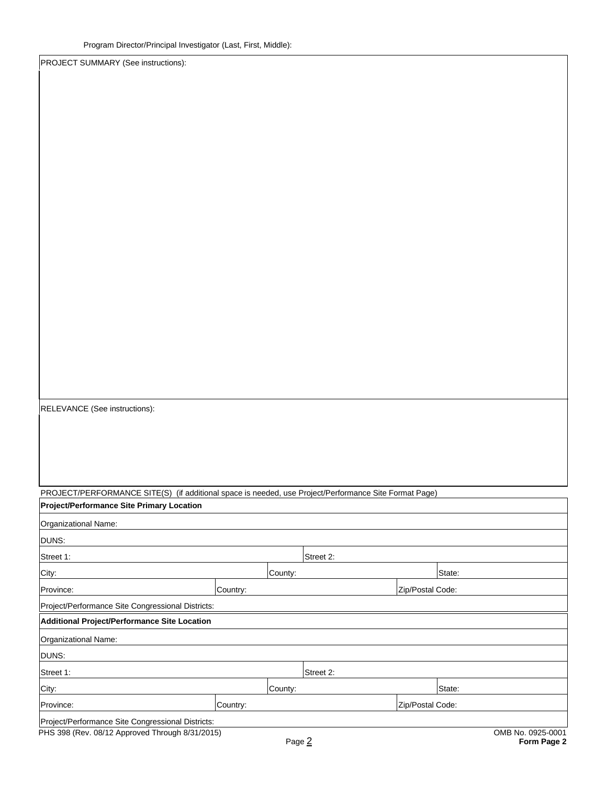PROJECT SUMMARY (See instructions):

RELEVANCE (See instructions):

PROJECT/PERFORMANCE SITE(S) (if additional space is needed, use Project/Performance Site Format Page) **Project/Performance Site Primary Location**

| Organizational Name:                              |          |           |                  |                   |             |
|---------------------------------------------------|----------|-----------|------------------|-------------------|-------------|
| DUNS:                                             |          |           |                  |                   |             |
| Street 1:                                         |          | Street 2: |                  |                   |             |
| City:                                             |          | County:   |                  | State:            |             |
| Province:                                         | Country: |           | Zip/Postal Code: |                   |             |
| Project/Performance Site Congressional Districts: |          |           |                  |                   |             |
| Additional Project/Performance Site Location      |          |           |                  |                   |             |
| Organizational Name:                              |          |           |                  |                   |             |
| DUNS:                                             |          |           |                  |                   |             |
| Street 1:                                         |          | Street 2: |                  |                   |             |
| City:                                             |          | County:   |                  | State:            |             |
| Province:                                         | Country: |           | Zip/Postal Code: |                   |             |
| Project/Performance Site Congressional Districts: |          |           |                  |                   |             |
| PHS 398 (Rev. 08/12 Approved Through 8/31/2015)   |          | Page 2    |                  | OMB No. 0925-0001 | Form Page 2 |